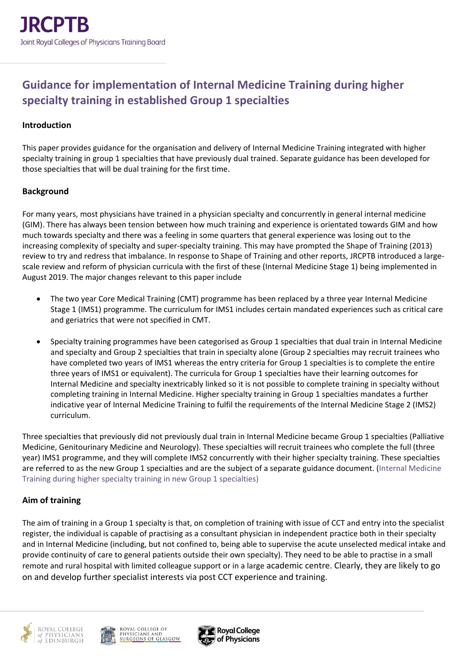# **Guidance for implementation of Internal Medicine Training during higher specialty training in established Group 1 specialties**

#### **Introduction**

This paper provides guidance for the organisation and delivery of Internal Medicine Training integrated with higher specialty training in group 1 specialties that have previously dual trained. Separate guidance has been developed for those specialties that will be dual training for the first time.

#### **Background**

For many years, most physicians have trained in a physician specialty and concurrently in general internal medicine (GIM). There has always been tension between how much training and experience is orientated towards GIM and how much towards specialty and there was a feeling in some quarters that general experience was losing out to the increasing complexity of specialty and super-specialty training. This may have prompted the Shape of Training (2013) review to try and redress that imbalance. In response to Shape of Training and other reports, JRCPTB introduced a largescale review and reform of physician curricula with the first of these (Internal Medicine Stage 1) being implemented in August 2019. The major changes relevant to this paper include

- The two year Core Medical Training (CMT) programme has been replaced by a three year Internal Medicine Stage 1 (IMS1) programme. The curriculum for IMS1 includes certain mandated experiences such as critical care and geriatrics that were not specified in CMT.
- Specialty training programmes have been categorised as Group 1 specialties that dual train in Internal Medicine and specialty and Group 2 specialties that train in specialty alone (Group 2 specialties may recruit trainees who have completed two years of IMS1 whereas the entry criteria for Group 1 specialties is to complete the entire three years of IMS1 or equivalent). The curricula for Group 1 specialties have their learning outcomes for Internal Medicine and specialty inextricably linked so it is not possible to complete training in specialty without completing training in Internal Medicine. Higher specialty training in Group 1 specialties mandates a further indicative year of Internal Medicine Training to fulfil the requirements of the Internal Medicine Stage 2 (IMS2) curriculum.

Three specialties that previously did not previously dual train in Internal Medicine became Group 1 specialties (Palliative Medicine, Genitourinary Medicine and Neurology). These specialties will recruit trainees who complete the full (three year) IMS1 programme, and they will complete IMS2 concurrently with their higher specialty training. These specialties are referred to as the new Group 1 specialties and are the subject of a separate guidance document. (Internal Medicine Training during higher specialty training in new Group 1 specialties)

## **Aim of training**

The aim of training in a Group 1 specialty is that, on completion of training with issue of CCT and entry into the specialist register, the individual is capable of practising as a consultant physician in independent practice both in their specialty and in Internal Medicine (including, but not confined to, being able to supervise the acute unselected medical intake and provide continuity of care to general patients outside their own specialty). They need to be able to practise in a small remote and rural hospital with limited colleague support or in a large academic centre. Clearly, they are likely to go on and develop further specialist interests via post CCT experience and training.





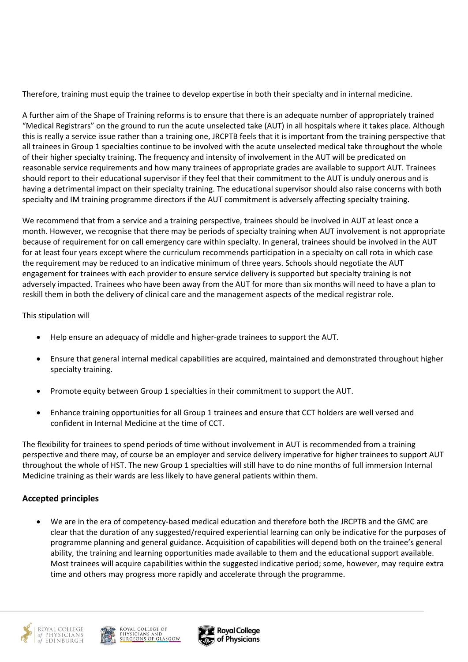Therefore, training must equip the trainee to develop expertise in both their specialty and in internal medicine.

A further aim of the Shape of Training reforms is to ensure that there is an adequate number of appropriately trained "Medical Registrars" on the ground to run the acute unselected take (AUT) in all hospitals where it takes place. Although this is really a service issue rather than a training one, JRCPTB feels that it is important from the training perspective that all trainees in Group 1 specialties continue to be involved with the acute unselected medical take throughout the whole of their higher specialty training. The frequency and intensity of involvement in the AUT will be predicated on reasonable service requirements and how many trainees of appropriate grades are available to support AUT. Trainees should report to their educational supervisor if they feel that their commitment to the AUT is unduly onerous and is having a detrimental impact on their specialty training. The educational supervisor should also raise concerns with both specialty and IM training programme directors if the AUT commitment is adversely affecting specialty training.

We recommend that from a service and a training perspective, trainees should be involved in AUT at least once a month. However, we recognise that there may be periods of specialty training when AUT involvement is not appropriate because of requirement for on call emergency care within specialty. In general, trainees should be involved in the AUT for at least four years except where the curriculum recommends participation in a specialty on call rota in which case the requirement may be reduced to an indicative minimum of three years. Schools should negotiate the AUT engagement for trainees with each provider to ensure service delivery is supported but specialty training is not adversely impacted. Trainees who have been away from the AUT for more than six months will need to have a plan to reskill them in both the delivery of clinical care and the management aspects of the medical registrar role.

#### This stipulation will

- Help ensure an adequacy of middle and higher-grade trainees to support the AUT.
- Ensure that general internal medical capabilities are acquired, maintained and demonstrated throughout higher specialty training.
- Promote equity between Group 1 specialties in their commitment to support the AUT.
- Enhance training opportunities for all Group 1 trainees and ensure that CCT holders are well versed and confident in Internal Medicine at the time of CCT.

The flexibility for trainees to spend periods of time without involvement in AUT is recommended from a training perspective and there may, of course be an employer and service delivery imperative for higher trainees to support AUT throughout the whole of HST. The new Group 1 specialties will still have to do nine months of full immersion Internal Medicine training as their wards are less likely to have general patients within them.

## **Accepted principles**

• We are in the era of competency-based medical education and therefore both the JRCPTB and the GMC are clear that the duration of any suggested/required experiential learning can only be indicative for the purposes of programme planning and general guidance. Acquisition of capabilities will depend both on the trainee's general ability, the training and learning opportunities made available to them and the educational support available. Most trainees will acquire capabilities within the suggested indicative period; some, however, may require extra time and others may progress more rapidly and accelerate through the programme.





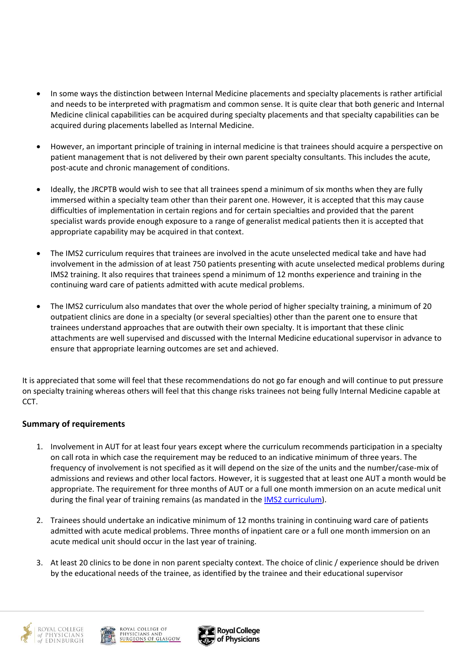- In some ways the distinction between Internal Medicine placements and specialty placements is rather artificial and needs to be interpreted with pragmatism and common sense. It is quite clear that both generic and Internal Medicine clinical capabilities can be acquired during specialty placements and that specialty capabilities can be acquired during placements labelled as Internal Medicine.
- However, an important principle of training in internal medicine is that trainees should acquire a perspective on patient management that is not delivered by their own parent specialty consultants. This includes the acute, post-acute and chronic management of conditions.
- Ideally, the JRCPTB would wish to see that all trainees spend a minimum of six months when they are fully immersed within a specialty team other than their parent one. However, it is accepted that this may cause difficulties of implementation in certain regions and for certain specialties and provided that the parent specialist wards provide enough exposure to a range of generalist medical patients then it is accepted that appropriate capability may be acquired in that context.
- The IMS2 curriculum requires that trainees are involved in the acute unselected medical take and have had involvement in the admission of at least 750 patients presenting with acute unselected medical problems during IMS2 training. It also requires that trainees spend a minimum of 12 months experience and training in the continuing ward care of patients admitted with acute medical problems.
- The IMS2 curriculum also mandates that over the whole period of higher specialty training, a minimum of 20 outpatient clinics are done in a specialty (or several specialties) other than the parent one to ensure that trainees understand approaches that are outwith their own specialty. It is important that these clinic attachments are well supervised and discussed with the Internal Medicine educational supervisor in advance to ensure that appropriate learning outcomes are set and achieved.

It is appreciated that some will feel that these recommendations do not go far enough and will continue to put pressure on specialty training whereas others will feel that this change risks trainees not being fully Internal Medicine capable at CCT.

## **Summary of requirements**

- 1. Involvement in AUT for at least four years except where the curriculum recommends participation in a specialty on call rota in which case the requirement may be reduced to an indicative minimum of three years. The frequency of involvement is not specified as it will depend on the size of the units and the number/case-mix of admissions and reviews and other local factors. However, it is suggested that at least one AUT a month would be appropriate. The requirement for three months of AUT or a full one month immersion on an acute medical unit during the final year of training remains (as mandated in the [IMS2 curriculum\)](https://www.jrcptb.org.uk/sites/default/files/Internal%20Medicine%20%28Stage%202%29%202022%20curriculum%20FINAL.pdf).
- 2. Trainees should undertake an indicative minimum of 12 months training in continuing ward care of patients admitted with acute medical problems. Three months of inpatient care or a full one month immersion on an acute medical unit should occur in the last year of training.
- 3. At least 20 clinics to be done in non parent specialty context. The choice of clinic / experience should be driven by the educational needs of the trainee, as identified by the trainee and their educational supervisor